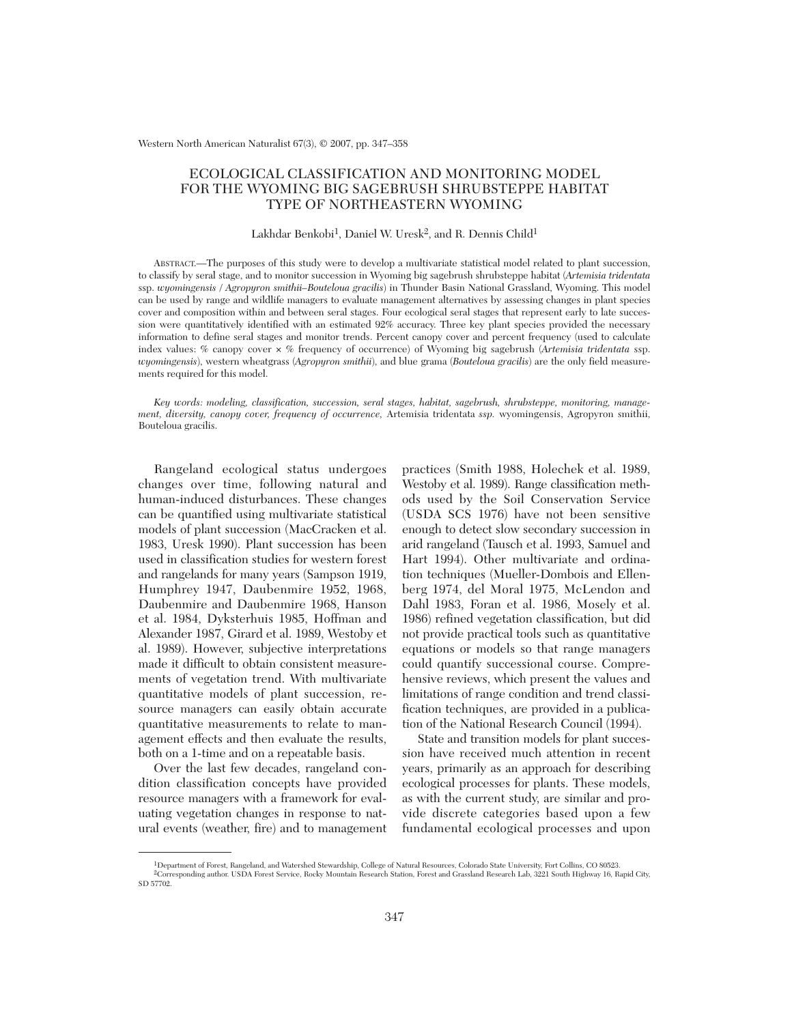Western North American Naturalist 67(3), © 2007, pp. 347–358

# ECOLOGICAL CLASSIFICATION AND MONITORING MODEL FOR THE WYOMING BIG SAGEBRUSH SHRUBSTEPPE HABITAT TYPE OF NORTHEASTERN WYOMING

# Lakhdar Benkobi<sup>1</sup>, Daniel W. Uresk<sup>2</sup>, and R. Dennis Child<sup>1</sup>

ABSTRACT.—The purposes of this study were to develop a multivariate statistical model related to plant succession, to classify by seral stage, and to monitor succession in Wyoming big sagebrush shrubsteppe habitat (*Artemisia tridentata* ssp. *wyomingensis / Agropyron smithii–Bouteloua gracilis*) in Thunder Basin National Grassland, Wyoming. This model can be used by range and wildlife managers to evaluate management alternatives by assessing changes in plant species cover and composition within and between seral stages. Four ecological seral stages that represent early to late succession were quantitatively identified with an estimated 92% accuracy. Three key plant species provided the necessary information to define seral stages and monitor trends. Percent canopy cover and percent frequency (used to calculate index values: % canopy cover × % frequency of occurrence) of Wyoming big sagebrush (*Artemisia tridentata* ssp. *wyomingensis*), western wheatgrass (*Agropyron smithii*), and blue grama (*Bouteloua gracilis*) are the only field measurements required for this model.

*Key words: modeling, classification, succession, seral stages, habitat, sagebrush, shrubsteppe, monitoring, management, diversity, canopy cover, frequency of occurrence,* Artemisia tridentata *ssp.* wyomingensis, Agropyron smithii, Bouteloua gracilis.

Rangeland ecological status undergoes changes over time, following natural and human-induced disturbances. These changes can be quantified using multivariate statistical models of plant succession (MacCracken et al. 1983, Uresk 1990). Plant succession has been used in classification studies for western forest and rangelands for many years (Sampson 1919, Humphrey 1947, Daubenmire 1952, 1968, Daubenmire and Daubenmire 1968, Hanson et al. 1984, Dyksterhuis 1985, Hoffman and Alexander 1987, Girard et al. 1989, Westoby et al. 1989). However, subjective interpretations made it difficult to obtain consistent measurements of vegetation trend. With multivariate quantitative models of plant succession, resource managers can easily obtain accurate quantitative measurements to relate to management effects and then evaluate the results, both on a 1-time and on a repeatable basis.

Over the last few decades, rangeland condition classification concepts have provided resource managers with a framework for evaluating vegetation changes in response to natural events (weather, fire) and to management

practices (Smith 1988, Holechek et al. 1989, Westoby et al. 1989). Range classification methods used by the Soil Conservation Service (USDA SCS 1976) have not been sensitive enough to detect slow secondary succession in arid rangeland (Tausch et al. 1993, Samuel and Hart 1994). Other multivariate and ordination techniques (Mueller-Dombois and Ellenberg 1974, del Moral 1975, McLendon and Dahl 1983, Foran et al. 1986, Mosely et al. 1986) refined vegetation classification, but did not provide practical tools such as quantitative equations or models so that range managers could quantify successional course. Comprehensive reviews, which present the values and limitations of range condition and trend classification techniques, are provided in a publication of the National Research Council (1994).

State and transition models for plant succession have received much attention in recent years, primarily as an approach for describing ecological processes for plants. These models, as with the current study, are similar and provide discrete categories based upon a few fundamental ecological processes and upon

<sup>&</sup>lt;sup>1</sup>Department of Forest, Rangeland, and Watershed Stewardship, College of Natural Resources, Colorado State University, Fort Collins, CO 80523.

<sup>2</sup>Corresponding author. USDA Forest Service, Rocky Mountain Research Station, Forest and Grassland Research Lab, 3221 South Highway 16, Rapid City, SD 57702.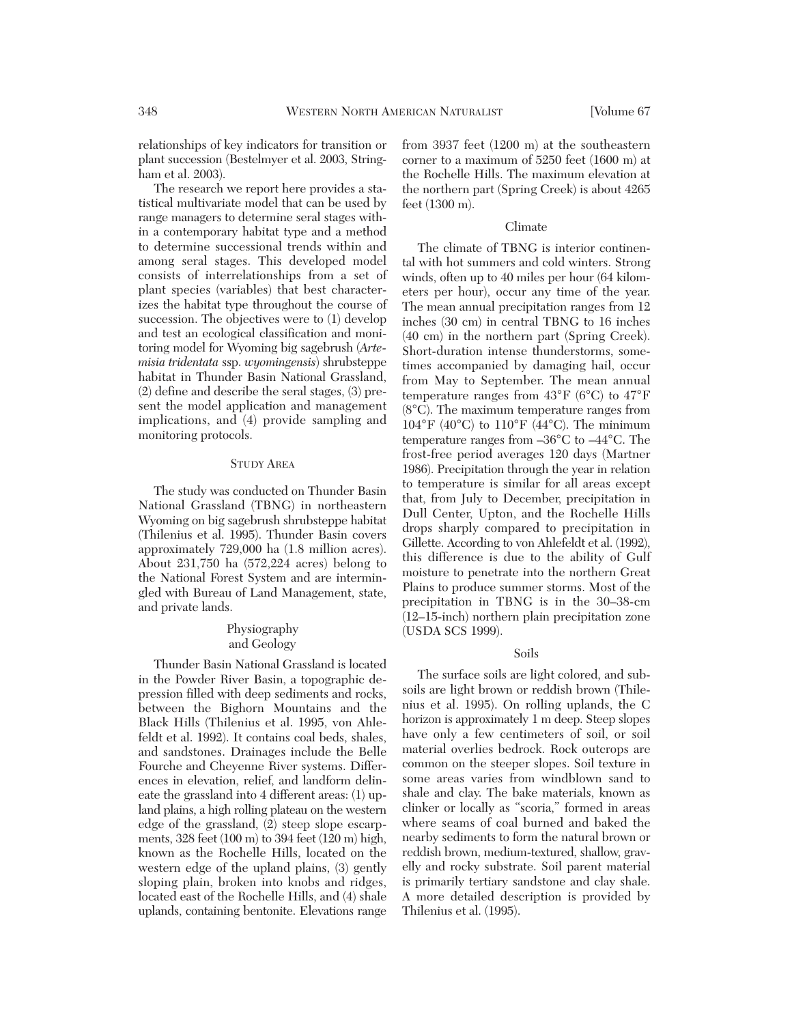relationships of key indicators for transition or plant succession (Bestelmyer et al. 2003, Stringham et al. 2003).

The research we report here provides a statistical multivariate model that can be used by range managers to determine seral stages within a contemporary habitat type and a method to determine successional trends within and among seral stages. This developed model consists of interrelationships from a set of plant species (variables) that best characterizes the habitat type throughout the course of succession. The objectives were to (1) develop and test an ecological classification and monitoring model for Wyoming big sagebrush (*Artemisia tridentata* ssp. *wyomingensis*) shrubsteppe habitat in Thunder Basin National Grassland, (2) define and describe the seral stages, (3) present the model application and management implications, and (4) provide sampling and monitoring protocols.

## STUDY AREA

The study was conducted on Thunder Basin National Grassland (TBNG) in northeastern Wyoming on big sagebrush shrubsteppe habitat (Thilenius et al. 1995). Thunder Basin covers approximately 729,000 ha (1.8 million acres). About 231,750 ha (572,224 acres) belong to the National Forest System and are intermingled with Bureau of Land Management, state, and private lands.

# Physiography and Geology

Thunder Basin National Grassland is located in the Powder River Basin, a topographic depression filled with deep sediments and rocks, between the Bighorn Mountains and the Black Hills (Thilenius et al. 1995, von Ahlefeldt et al. 1992). It contains coal beds, shales, and sandstones. Drainages include the Belle Fourche and Cheyenne River systems. Differences in elevation, relief, and landform delineate the grassland into 4 different areas: (1) upland plains, a high rolling plateau on the western edge of the grassland, (2) steep slope escarpments, 328 feet (100 m) to 394 feet (120 m) high, known as the Rochelle Hills, located on the western edge of the upland plains, (3) gently sloping plain, broken into knobs and ridges, located east of the Rochelle Hills, and (4) shale uplands, containing bentonite. Elevations range

from 3937 feet (1200 m) at the southeastern corner to a maximum of 5250 feet (1600 m) at the Rochelle Hills. The maximum elevation at the northern part (Spring Creek) is about 4265 feet (1300 m).

### Climate

The climate of TBNG is interior continental with hot summers and cold winters. Strong winds, often up to 40 miles per hour (64 kilometers per hour), occur any time of the year. The mean annual precipitation ranges from 12 inches (30 cm) in central TBNG to 16 inches (40 cm) in the northern part (Spring Creek). Short-duration intense thunderstorms, sometimes accompanied by damaging hail, occur from May to September. The mean annual temperature ranges from 43°F (6°C) to 47°F (8°C). The maximum temperature ranges from  $104^{\circ}$ F (40°C) to  $110^{\circ}$ F (44°C). The minimum temperature ranges from –36°C to –44°C. The frost-free period averages 120 days (Martner 1986). Precipitation through the year in relation to temperature is similar for all areas except that, from July to December, precipitation in Dull Center, Upton, and the Rochelle Hills drops sharply compared to precipitation in Gillette. According to von Ahlefeldt et al. (1992), this difference is due to the ability of Gulf moisture to penetrate into the northern Great Plains to produce summer storms. Most of the precipitation in TBNG is in the 30–38-cm (12–15-inch) northern plain precipitation zone (USDA SCS 1999).

#### Soils

The surface soils are light colored, and subsoils are light brown or reddish brown (Thilenius et al. 1995). On rolling uplands, the C horizon is approximately 1 m deep. Steep slopes have only a few centimeters of soil, or soil material overlies bedrock. Rock outcrops are common on the steeper slopes. Soil texture in some areas varies from windblown sand to shale and clay. The bake materials, known as clinker or locally as "scoria," formed in areas where seams of coal burned and baked the nearby sediments to form the natural brown or reddish brown, medium-textured, shallow, gravelly and rocky substrate. Soil parent material is primarily tertiary sandstone and clay shale. A more detailed description is provided by Thilenius et al. (1995).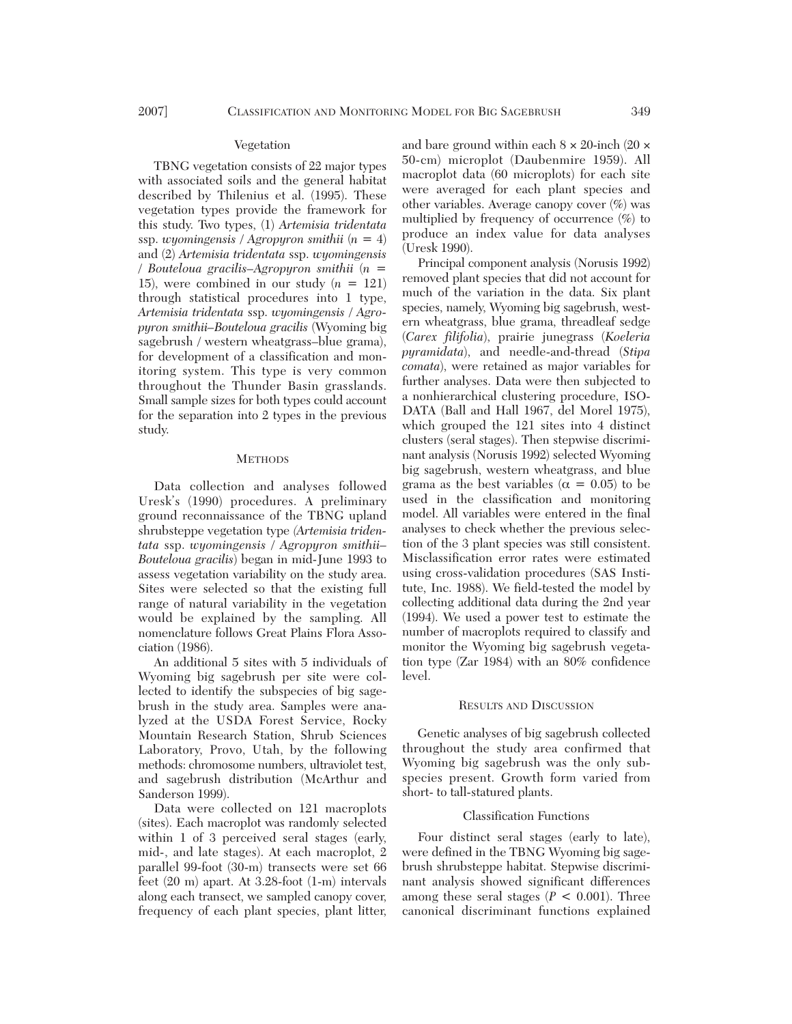#### Vegetation

TBNG vegetation consists of 22 major types with associated soils and the general habitat described by Thilenius et al. (1995). These vegetation types provide the framework for this study. Two types, (1) *Artemisia tridentata* ssp. *wyomingensis / Agropyron smithii* (*n* = 4) and (2) *Artemisia tridentata* ssp. *wyomingensis / Bouteloua gracilis–Agropyron smithii* (*n* = 15), were combined in our study  $(n = 121)$ through statistical procedures into 1 type, *Artemisia tridentata* ssp. *wyomingensis / Agropyron smithii–Bouteloua gracilis* (Wyoming big sagebrush / western wheatgrass–blue grama), for development of a classification and monitoring system. This type is very common throughout the Thunder Basin grasslands. Small sample sizes for both types could account for the separation into 2 types in the previous study.

#### **METHODS**

Data collection and analyses followed Uresk's (1990) procedures. A preliminary ground reconnaissance of the TBNG upland shrubsteppe vegetation type *(Artemisia tridentata* ssp. *wyomingensis / Agropyron smithii– Bouteloua gracilis*) began in mid-June 1993 to assess vegetation variability on the study area. Sites were selected so that the existing full range of natural variability in the vegetation would be explained by the sampling. All nomenclature follows Great Plains Flora Association (1986).

An additional 5 sites with 5 individuals of Wyoming big sagebrush per site were collected to identify the subspecies of big sagebrush in the study area. Samples were analyzed at the USDA Forest Service, Rocky Mountain Research Station, Shrub Sciences Laboratory, Provo, Utah, by the following methods: chromosome numbers, ultraviolet test, and sagebrush distribution (McArthur and Sanderson 1999).

Data were collected on 121 macroplots (sites). Each macroplot was randomly selected within 1 of 3 perceived seral stages (early, mid-, and late stages). At each macroplot, 2 parallel 99-foot (30-m) transects were set 66 feet (20 m) apart. At 3.28-foot (1-m) intervals along each transect, we sampled canopy cover, frequency of each plant species, plant litter,

and bare ground within each  $8 \times 20$ -inch  $(20 \times$ 50-cm) microplot (Daubenmire 1959). All macroplot data (60 microplots) for each site were averaged for each plant species and other variables. Average canopy cover (%) was multiplied by frequency of occurrence (%) to produce an index value for data analyses (Uresk 1990).

Principal component analysis (Norusis 1992) removed plant species that did not account for much of the variation in the data. Six plant species, namely, Wyoming big sagebrush, western wheatgrass, blue grama, threadleaf sedge (*Carex filifolia*), prairie junegrass (*Koeleria pyramidata*), and needle-and-thread (*Stipa comata*), were retained as major variables for further analyses. Data were then subjected to a nonhierarchical clustering procedure, ISO-DATA (Ball and Hall 1967, del Morel 1975), which grouped the 121 sites into 4 distinct clusters (seral stages). Then stepwise discriminant analysis (Norusis 1992) selected Wyoming big sagebrush, western wheatgrass, and blue grama as the best variables ( $\alpha = 0.05$ ) to be used in the classification and monitoring model. All variables were entered in the final analyses to check whether the previous selection of the 3 plant species was still consistent. Misclassification error rates were estimated using cross-validation procedures (SAS Institute, Inc. 1988). We field-tested the model by collecting additional data during the 2nd year (1994). We used a power test to estimate the number of macroplots required to classify and monitor the Wyoming big sagebrush vegetation type (Zar 1984) with an 80% confidence level.

# RESULTS AND DISCUSSION

Genetic analyses of big sagebrush collected throughout the study area confirmed that Wyoming big sagebrush was the only subspecies present. Growth form varied from short- to tall-statured plants.

# Classification Functions

Four distinct seral stages (early to late), were defined in the TBNG Wyoming big sagebrush shrubsteppe habitat. Stepwise discriminant analysis showed significant differences among these seral stages ( $P < 0.001$ ). Three canonical discriminant functions explained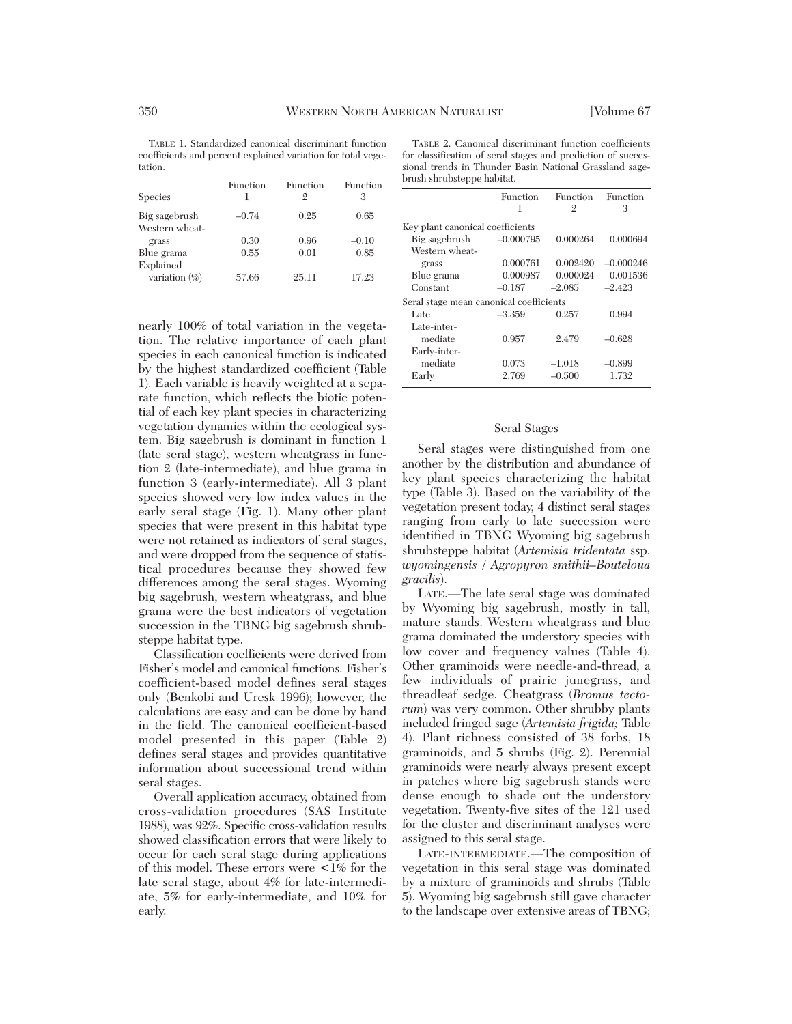TABLE 1. Standardized canonical discriminant function coefficients and percent explained variation for total vegetation.

| <b>Species</b>   | <b>Function</b><br>ı | Function<br>9. | Function<br>З |
|------------------|----------------------|----------------|---------------|
| Big sagebrush    | $-0.74$              | 0.25           | 0.65          |
| Western wheat-   |                      |                |               |
| grass            | 0.30                 | 0.96           | $-0.10$       |
| Blue grama       | 0.55                 | 0.01           | 0.85          |
| Explained        |                      |                |               |
| variation $(\%)$ | 57.66                | 25.11          | 17.23         |

TABLE 2. Canonical discriminant function coefficients for classification of seral stages and prediction of successional trends in Thunder Basin National Grassland sagebrush shrubsteppe habitat.

|                                         | <b>Function</b> | <b>Function</b> | Function    |
|-----------------------------------------|-----------------|-----------------|-------------|
|                                         | 1               | 2               | З           |
| Key plant canonical coefficients        |                 |                 |             |
| Big sagebrush                           | $-0.000795$     | 0.000264        | 0.000694    |
| Western wheat-                          |                 |                 |             |
| grass                                   | 0.000761        | 0.002420        | $-0.000246$ |
| Blue grama                              | 0.000987        | 0.000024        | 0.001536    |
| Constant                                | $-0.187$        | $-2.085$        | $-2.423$    |
| Seral stage mean canonical coefficients |                 |                 |             |
| Late                                    | $-3.359$        | 0.257           | 0.994       |
| Late-inter-                             |                 |                 |             |
| mediate                                 | 0.957           | 2.479           | $-0.628$    |
| Early-inter-                            |                 |                 |             |
| mediate                                 | 0.073           | $-1.018$        | $-0.899$    |
| Early                                   | 2.769           | $-0.500$        | 1.732       |
|                                         |                 |                 |             |

## Seral Stages

Seral stages were distinguished from one another by the distribution and abundance of key plant species characterizing the habitat type (Table 3). Based on the variability of the vegetation present today, 4 distinct seral stages ranging from early to late succession were identified in TBNG Wyoming big sagebrush shrubsteppe habitat (*Artemisia tridentata* ssp. *wyomingensis / Agropyron smithii–Bouteloua gracilis*).

LATE.—The late seral stage was dominated by Wyoming big sagebrush, mostly in tall, mature stands. Western wheatgrass and blue grama dominated the understory species with low cover and frequency values (Table 4). Other graminoids were needle-and-thread, a few individuals of prairie junegrass, and threadleaf sedge. Cheatgrass (*Bromus tectorum*) was very common. Other shrubby plants included fringed sage (*Artemisia frigida;* Table 4). Plant richness consisted of 38 forbs, 18 graminoids, and 5 shrubs (Fig. 2). Perennial graminoids were nearly always present except in patches where big sagebrush stands were dense enough to shade out the understory vegetation. Twenty-five sites of the 121 used for the cluster and discriminant analyses were assigned to this seral stage.

LATE-INTERMEDIATE.—The composition of vegetation in this seral stage was dominated by a mixture of graminoids and shrubs (Table 5). Wyoming big sagebrush still gave character to the landscape over extensive areas of TBNG;

nearly 100% of total variation in the vegetation. The relative importance of each plant species in each canonical function is indicated by the highest standardized coefficient (Table 1). Each variable is heavily weighted at a separate function, which reflects the biotic potential of each key plant species in characterizing vegetation dynamics within the ecological system. Big sagebrush is dominant in function 1 (late seral stage), western wheatgrass in function 2 (late-intermediate), and blue grama in function 3 (early-intermediate). All 3 plant species showed very low index values in the early seral stage (Fig. 1). Many other plant species that were present in this habitat type were not retained as indicators of seral stages, and were dropped from the sequence of statistical procedures because they showed few differences among the seral stages. Wyoming big sagebrush, western wheatgrass, and blue grama were the best indicators of vegetation succession in the TBNG big sagebrush shrubsteppe habitat type.

Classification coefficients were derived from Fisher's model and canonical functions. Fisher's coefficient-based model defines seral stages only (Benkobi and Uresk 1996); however, the calculations are easy and can be done by hand in the field. The canonical coefficient-based model presented in this paper (Table 2) defines seral stages and provides quantitative information about successional trend within seral stages.

Overall application accuracy, obtained from cross-validation procedures (SAS Institute 1988), was 92%. Specific cross-validation results showed classification errors that were likely to occur for each seral stage during applications of this model. These errors were  $\lt 1\%$  for the late seral stage, about 4% for late-intermediate, 5% for early-intermediate, and 10% for early.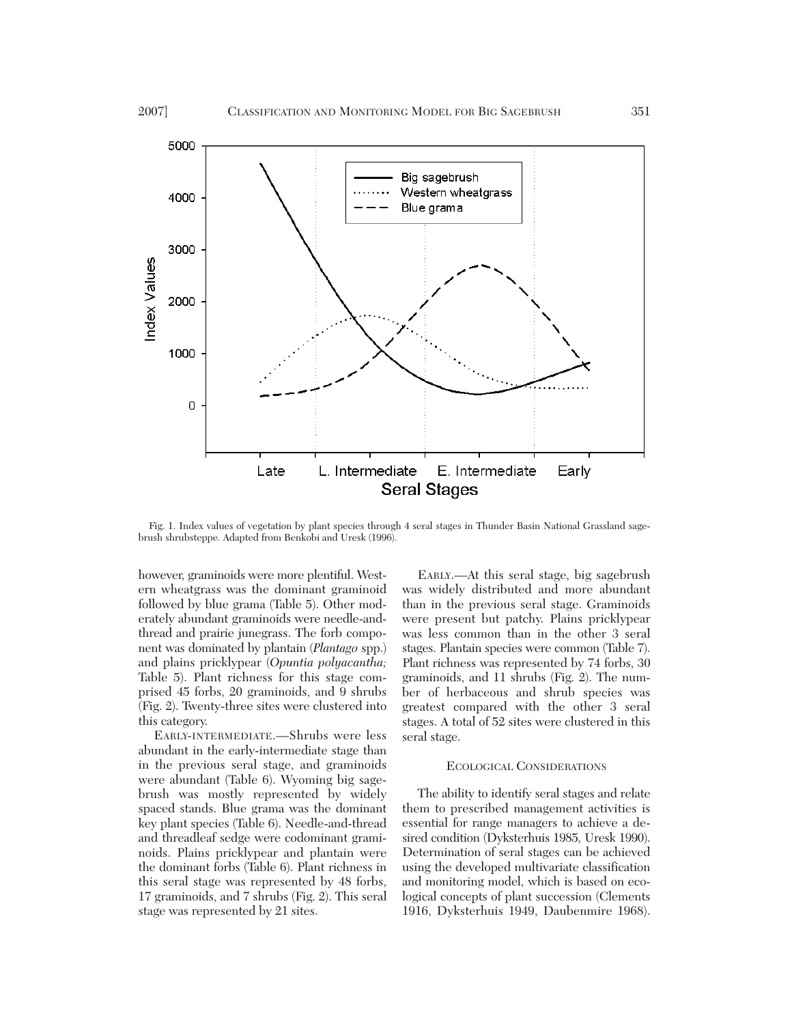

Fig. 1. Index values of vegetation by plant species through 4 seral stages in Thunder Basin National Grassland sagebrush shrubsteppe. Adapted from Benkobi and Uresk (1996).

however, graminoids were more plentiful. Western wheatgrass was the dominant graminoid followed by blue grama (Table 5). Other moderately abundant graminoids were needle-andthread and prairie junegrass. The forb component was dominated by plantain (*Plantago* spp.) and plains pricklypear (*Opuntia polyacantha;* Table 5). Plant richness for this stage comprised 45 forbs, 20 graminoids, and 9 shrubs (Fig. 2). Twenty-three sites were clustered into this category.

EARLY-INTERMEDIATE.—Shrubs were less abundant in the early-intermediate stage than in the previous seral stage, and graminoids were abundant (Table 6). Wyoming big sagebrush was mostly represented by widely spaced stands. Blue grama was the dominant key plant species (Table 6). Needle-and-thread and threadleaf sedge were codominant graminoids. Plains pricklypear and plantain were the dominant forbs (Table 6). Plant richness in this seral stage was represented by 48 forbs, 17 graminoids, and 7 shrubs (Fig. 2). This seral stage was represented by 21 sites.

EARLY.—At this seral stage, big sagebrush was widely distributed and more abundant than in the previous seral stage. Graminoids were present but patchy. Plains pricklypear was less common than in the other 3 seral stages. Plantain species were common (Table 7). Plant richness was represented by 74 forbs, 30 graminoids, and 11 shrubs (Fig. 2). The number of herbaceous and shrub species was greatest compared with the other 3 seral stages. A total of 52 sites were clustered in this seral stage.

#### ECOLOGICAL CONSIDERATIONS

The ability to identify seral stages and relate them to prescribed management activities is essential for range managers to achieve a desired condition (Dyksterhuis 1985, Uresk 1990). Determination of seral stages can be achieved using the developed multivariate classification and monitoring model, which is based on ecological concepts of plant succession (Clements 1916, Dyksterhuis 1949, Daubenmire 1968).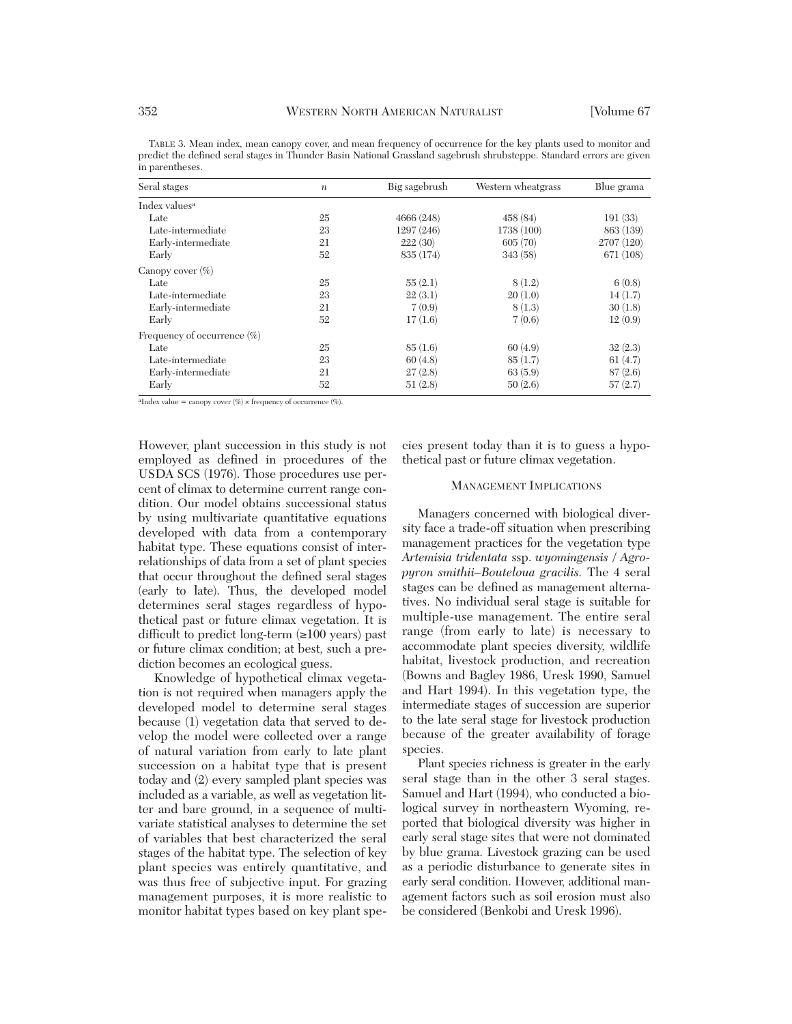| Seral stages                   | $\boldsymbol{n}$ | Big sagebrush | Western wheatgrass | Blue grama |
|--------------------------------|------------------|---------------|--------------------|------------|
| Index values <sup>a</sup>      |                  |               |                    |            |
| Late                           | 25               | 4666(248)     | 458 (84)           | 191(33)    |
| Late-intermediate              | 23               | 1297 (246)    | 1738 (100)         | 863 (139)  |
| Early-intermediate             | 21               | 222(30)       | 605(70)            | 2707 (120) |
| Early                          | 52               | 835 (174)     | 343 (58)           | 671 (108)  |
| Canopy cover $(\%)$            |                  |               |                    |            |
| Late                           | 25               | 55(2.1)       | 8(1.2)             | 6(0.8)     |
| Late-intermediate              | 23               | 22(3.1)       | 20(1.0)            | 14(1.7)    |
| Early-intermediate             | 21               | 7(0.9)        | 8(1.3)             | 30(1.8)    |
| Early                          | 52               | 17(1.6)       | 7(0.6)             | 12(0.9)    |
| Frequency of occurrence $(\%)$ |                  |               |                    |            |
| Late                           | 25               | 85(1.6)       | 60(4.9)            | 32(2.3)    |
| Late-intermediate              | 23               | 60(4.8)       | 85(1.7)            | 61(4.7)    |
| Early-intermediate             | 21               | 27(2.8)       | 63(5.9)            | 87(2.6)    |
| Early                          | 52               | 51(2.8)       | 50(2.6)            | 57(2.7)    |

TABLE 3. Mean index, mean canopy cover, and mean frequency of occurrence for the key plants used to monitor and predict the defined seral stages in Thunder Basin National Grassland sagebrush shrubsteppe. Standard errors are given in parentheses.

<sup>a</sup>Index value = canopy cover  $(\%)$  × frequency of occurrence  $(\%)$ .

However, plant succession in this study is not employed as defined in procedures of the USDA SCS (1976). Those procedures use percent of climax to determine current range condition. Our model obtains successional status by using multivariate quantitative equations developed with data from a contemporary habitat type. These equations consist of interrelationships of data from a set of plant species that occur throughout the defined seral stages (early to late). Thus, the developed model determines seral stages regardless of hypothetical past or future climax vegetation. It is difficult to predict long-term  $(\geq 100 \text{ years})$  past or future climax condition; at best, such a prediction becomes an ecological guess.

Knowledge of hypothetical climax vegetation is not required when managers apply the developed model to determine seral stages because (1) vegetation data that served to develop the model were collected over a range of natural variation from early to late plant succession on a habitat type that is present today and (2) every sampled plant species was included as a variable, as well as vegetation litter and bare ground, in a sequence of multivariate statistical analyses to determine the set of variables that best characterized the seral stages of the habitat type. The selection of key plant species was entirely quantitative, and was thus free of subjective input. For grazing management purposes, it is more realistic to monitor habitat types based on key plant species present today than it is to guess a hypothetical past or future climax vegetation.

## MANAGEMENT IMPLICATIONS

Managers concerned with biological diversity face a trade-off situation when prescribing management practices for the vegetation type *Artemisia tridentata* ssp. *wyomingensis / Agropyron smithii–Bouteloua gracilis.* The 4 seral stages can be defined as management alternatives. No individual seral stage is suitable for multiple-use management. The entire seral range (from early to late) is necessary to accommodate plant species diversity, wildlife habitat, livestock production, and recreation (Bowns and Bagley 1986, Uresk 1990, Samuel and Hart 1994). In this vegetation type, the intermediate stages of succession are superior to the late seral stage for livestock production because of the greater availability of forage species.

Plant species richness is greater in the early seral stage than in the other 3 seral stages. Samuel and Hart (1994), who conducted a biological survey in northeastern Wyoming, reported that biological diversity was higher in early seral stage sites that were not dominated by blue grama. Livestock grazing can be used as a periodic disturbance to generate sites in early seral condition. However, additional management factors such as soil erosion must also be considered (Benkobi and Uresk 1996).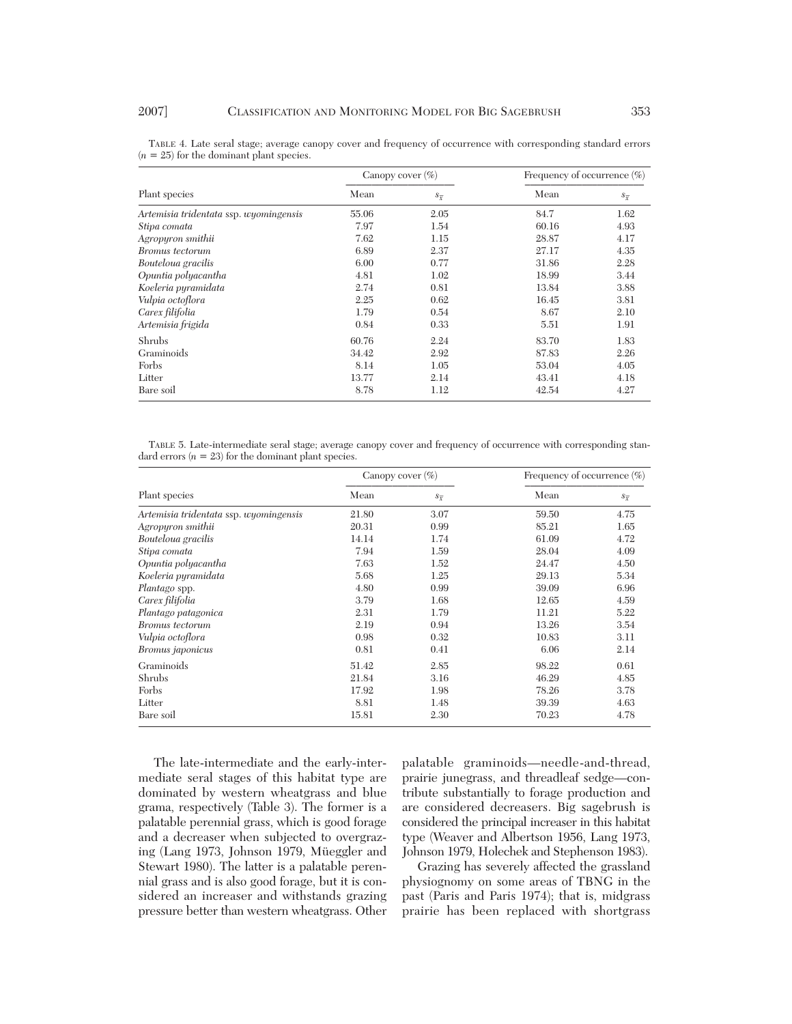|                                        | Canopy cover $(\%)$ |                    | Frequency of occurrence $(\%)$ |                    |
|----------------------------------------|---------------------|--------------------|--------------------------------|--------------------|
| Plant species                          | Mean                | $s_{\overline{r}}$ | Mean                           | $s_{\overline{r}}$ |
| Artemisia tridentata ssp. wyomingensis | 55.06               | 2.05               | 84.7                           | 1.62               |
| Stipa comata                           | 7.97                | 1.54               | 60.16                          | 4.93               |
| Agropyron smithii                      | 7.62                | 1.15               | 28.87                          | 4.17               |
| Bromus tectorum                        | 6.89                | 2.37               | 27.17                          | 4.35               |
| Bouteloua gracilis                     | 6.00                | 0.77               | 31.86                          | 2.28               |
| Opuntia polyacantha                    | 4.81                | 1.02               | 18.99                          | 3.44               |
| Koeleria pyramidata                    | 2.74                | 0.81               | 13.84                          | 3.88               |
| Vulpia octoflora                       | 2.25                | 0.62               | 16.45                          | 3.81               |
| Carex filifolia                        | 1.79                | 0.54               | 8.67                           | 2.10               |
| Artemisia frigida                      | 0.84                | 0.33               | 5.51                           | 1.91               |
| Shrubs                                 | 60.76               | 2.24               | 83.70                          | 1.83               |
| Graminoids                             | 34.42               | 2.92               | 87.83                          | 2.26               |
| Forbs                                  | 8.14                | 1.05               | 53.04                          | 4.05               |
| Litter                                 | 13.77               | 2.14               | 43.41                          | 4.18               |
| Bare soil                              | 8.78                | 1.12               | 42.54                          | 4.27               |

TABLE 4. Late seral stage; average canopy cover and frequency of occurrence with corresponding standard errors  $(n = 25)$  for the dominant plant species.

TABLE 5. Late-intermediate seral stage; average canopy cover and frequency of occurrence with corresponding standard errors  $(n = 23)$  for the dominant plant species.

| Plant species                          | Canopy cover $(\%)$ |                    | Frequency of occurrence $(\%)$ |                    |
|----------------------------------------|---------------------|--------------------|--------------------------------|--------------------|
|                                        | Mean                | $S_{\overline{Y}}$ | Mean                           | $S_{\overline{Y}}$ |
| Artemisia tridentata ssp. wyomingensis | 21.80               | 3.07               | 59.50                          | 4.75               |
| Agropyron smithii                      | 20.31               | 0.99               | 85.21                          | 1.65               |
| Bouteloua gracilis                     | 14.14               | 1.74               | 61.09                          | 4.72               |
| Stipa comata                           | 7.94                | 1.59               | 28.04                          | 4.09               |
| Opuntia polyacantha                    | 7.63                | 1.52               | 24.47                          | 4.50               |
| Koeleria pyramidata                    | 5.68                | 1.25               | 29.13                          | 5.34               |
| <i>Plantago</i> spp.                   | 4.80                | 0.99               | 39.09                          | 6.96               |
| Carex filifolia                        | 3.79                | 1.68               | 12.65                          | 4.59               |
| Plantago patagonica                    | 2.31                | 1.79               | 11.21                          | 5.22               |
| Bromus tectorum                        | 2.19                | 0.94               | 13.26                          | 3.54               |
| Vulpia octoflora                       | 0.98                | 0.32               | 10.83                          | 3.11               |
| Bromus <i>japonicus</i>                | 0.81                | 0.41               | 6.06                           | 2.14               |
| Graminoids                             | 51.42               | 2.85               | 98.22                          | 0.61               |
| Shrubs                                 | 21.84               | 3.16               | 46.29                          | 4.85               |
| Forbs                                  | 17.92               | 1.98               | 78.26                          | 3.78               |
| Litter                                 | 8.81                | 1.48               | 39.39                          | 4.63               |
| Bare soil                              | 15.81               | 2.30               | 70.23                          | 4.78               |

The late-intermediate and the early-intermediate seral stages of this habitat type are dominated by western wheatgrass and blue grama, respectively (Table 3). The former is a palatable perennial grass, which is good forage and a decreaser when subjected to overgrazing (Lang 1973, Johnson 1979, Müeggler and Stewart 1980). The latter is a palatable perennial grass and is also good forage, but it is considered an increaser and withstands grazing pressure better than western wheatgrass. Other

palatable graminoids—needle-and-thread, prairie junegrass, and threadleaf sedge—contribute substantially to forage production and are considered decreasers. Big sagebrush is considered the principal increaser in this habitat type (Weaver and Albertson 1956, Lang 1973, Johnson 1979, Holechek and Stephenson 1983).

Grazing has severely affected the grassland physiognomy on some areas of TBNG in the past (Paris and Paris 1974); that is, midgrass prairie has been replaced with shortgrass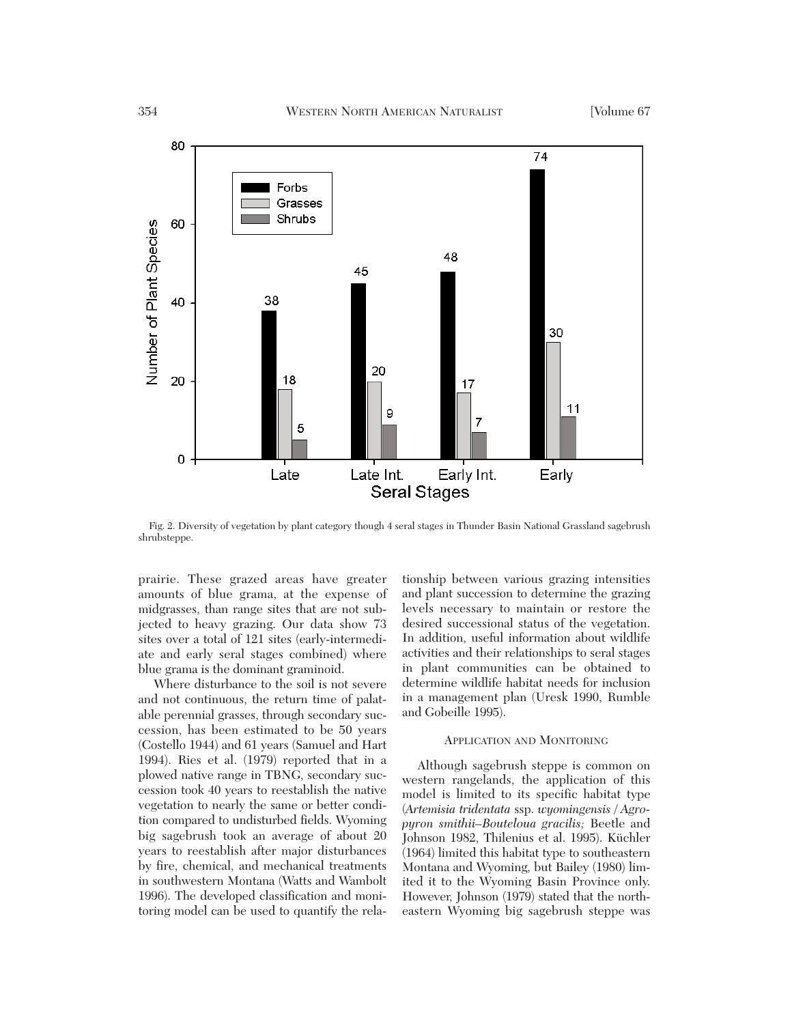

Fig. 2. Diversity of vegetation by plant category though 4 seral stages in Thunder Basin National Grassland sagebrush shrubsteppe.

prairie. These grazed areas have greater amounts of blue grama, at the expense of midgrasses, than range sites that are not subjected to heavy grazing. Our data show 73 sites over a total of 121 sites (early-intermediate and early seral stages combined) where blue grama is the dominant graminoid.

Where disturbance to the soil is not severe and not continuous, the return time of palatable perennial grasses, through secondary succession, has been estimated to be 50 years (Costello 1944) and 61 years (Samuel and Hart 1994). Ries et al. (1979) reported that in a plowed native range in TBNG, secondary succession took 40 years to reestablish the native vegetation to nearly the same or better condition compared to undisturbed fields. Wyoming big sagebrush took an average of about 20 years to reestablish after major disturbances by fire, chemical, and mechanical treatments in southwestern Montana (Watts and Wambolt 1996). The developed classification and monitoring model can be used to quantify the rela-

tionship between various grazing intensities and plant succession to determine the grazing levels necessary to maintain or restore the desired successional status of the vegetation. In addition, useful information about wildlife activities and their relationships to seral stages in plant communities can be obtained to determine wildlife habitat needs for inclusion in a management plan (Uresk 1990, Rumble and Gobeille 1995).

# APPLICATION AND MONITORING

Although sagebrush steppe is common on western rangelands, the application of this model is limited to its specific habitat type (*Artemisia tridentata* ssp. *wyomingensis / Agropyron smithii–Bouteloua gracilis;* Beetle and Johnson 1982, Thilenius et al. 1995). Küchler (1964) limited this habitat type to southeastern Montana and Wyoming, but Bailey (1980) limited it to the Wyoming Basin Province only. However, Johnson (1979) stated that the northeastern Wyoming big sagebrush steppe was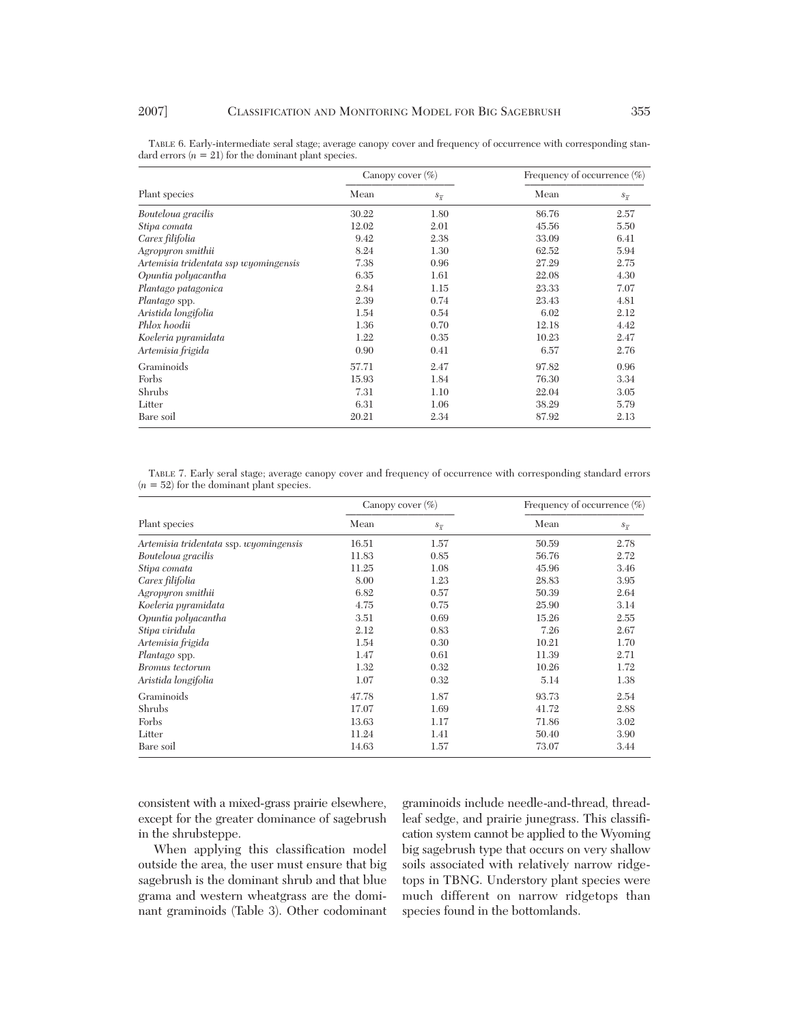| Plant species                         | Canopy cover $(\%)$ |                    | Frequency of occurrence $(\%)$ |                    |
|---------------------------------------|---------------------|--------------------|--------------------------------|--------------------|
|                                       | Mean                | $s_{\overline{x}}$ | Mean                           | $S_{\overline{Y}}$ |
| Bouteloua gracilis                    | 30.22               | 1.80               | 86.76                          | 2.57               |
| Stipa comata                          | 12.02               | 2.01               | 45.56                          | 5.50               |
| Carex filifolia                       | 9.42                | 2.38               | 33.09                          | 6.41               |
| Agropyron smithii                     | 8.24                | 1.30               | 62.52                          | 5.94               |
| Artemisia tridentata ssp wyomingensis | 7.38                | 0.96               | 27.29                          | 2.75               |
| Opuntia polyacantha                   | 6.35                | 1.61               | 22.08                          | 4.30               |
| Plantago patagonica                   | 2.84                | 1.15               | 23.33                          | 7.07               |
| Plantago spp.                         | 2.39                | 0.74               | 23.43                          | 4.81               |
| Aristida longifolia                   | 1.54                | 0.54               | 6.02                           | 2.12               |
| Phlox hoodii                          | 1.36                | 0.70               | 12.18                          | 4.42               |
| Koeleria pyramidata                   | 1.22                | 0.35               | 10.23                          | 2.47               |
| Artemisia frigida                     | 0.90                | 0.41               | 6.57                           | 2.76               |
| Graminoids                            | 57.71               | 2.47               | 97.82                          | 0.96               |
| Forbs                                 | 15.93               | 1.84               | 76.30                          | 3.34               |
| Shrubs                                | 7.31                | 1.10               | 22.04                          | 3.05               |
| Litter                                | 6.31                | 1.06               | 38.29                          | 5.79               |
| Bare soil                             | 20.21               | 2.34               | 87.92                          | 2.13               |

TABLE 6. Early-intermediate seral stage; average canopy cover and frequency of occurrence with corresponding standard errors  $(n = 21)$  for the dominant plant species.

TABLE 7. Early seral stage; average canopy cover and frequency of occurrence with corresponding standard errors  $(n = 52)$  for the dominant plant species.

| Plant species                          | Canopy cover $(\%)$ |                    | Frequency of occurrence (%) |                    |
|----------------------------------------|---------------------|--------------------|-----------------------------|--------------------|
|                                        | Mean                | $s_{\overline{x}}$ | Mean                        | $S_{\overline{Y}}$ |
| Artemisia tridentata ssp. wyomingensis | 16.51               | 1.57               | 50.59                       | 2.78               |
| Bouteloua gracilis                     | 11.83               | 0.85               | 56.76                       | 2.72               |
| Stipa comata                           | 11.25               | 1.08               | 45.96                       | 3.46               |
| Carex filifolia                        | 8.00                | 1.23               | 28.83                       | 3.95               |
| Agropyron smithii                      | 6.82                | 0.57               | 50.39                       | 2.64               |
| Koeleria pyramidata                    | 4.75                | 0.75               | 25.90                       | 3.14               |
| Opuntia polyacantha                    | 3.51                | 0.69               | 15.26                       | 2.55               |
| Stipa viridula                         | 2.12                | 0.83               | 7.26                        | 2.67               |
| Artemisia frigida                      | 1.54                | 0.30               | 10.21                       | 1.70               |
| <i>Plantago</i> spp.                   | 1.47                | 0.61               | 11.39                       | 2.71               |
| Bromus tectorum                        | 1.32                | 0.32               | 10.26                       | 1.72               |
| Aristida longifolia                    | 1.07                | 0.32               | 5.14                        | 1.38               |
| Graminoids                             | 47.78               | 1.87               | 93.73                       | 2.54               |
| Shrubs                                 | 17.07               | 1.69               | 41.72                       | 2.88               |
| Forbs                                  | 13.63               | 1.17               | 71.86                       | 3.02               |
| Litter                                 | 11.24               | 1.41               | 50.40                       | 3.90               |
| Bare soil                              | 14.63               | 1.57               | 73.07                       | 3.44               |

consistent with a mixed-grass prairie elsewhere, except for the greater dominance of sagebrush in the shrubsteppe.

When applying this classification model outside the area, the user must ensure that big sagebrush is the dominant shrub and that blue grama and western wheatgrass are the dominant graminoids (Table 3). Other codominant

graminoids include needle-and-thread, threadleaf sedge, and prairie junegrass. This classification system cannot be applied to the Wyoming big sagebrush type that occurs on very shallow soils associated with relatively narrow ridgetops in TBNG. Understory plant species were much different on narrow ridgetops than species found in the bottomlands.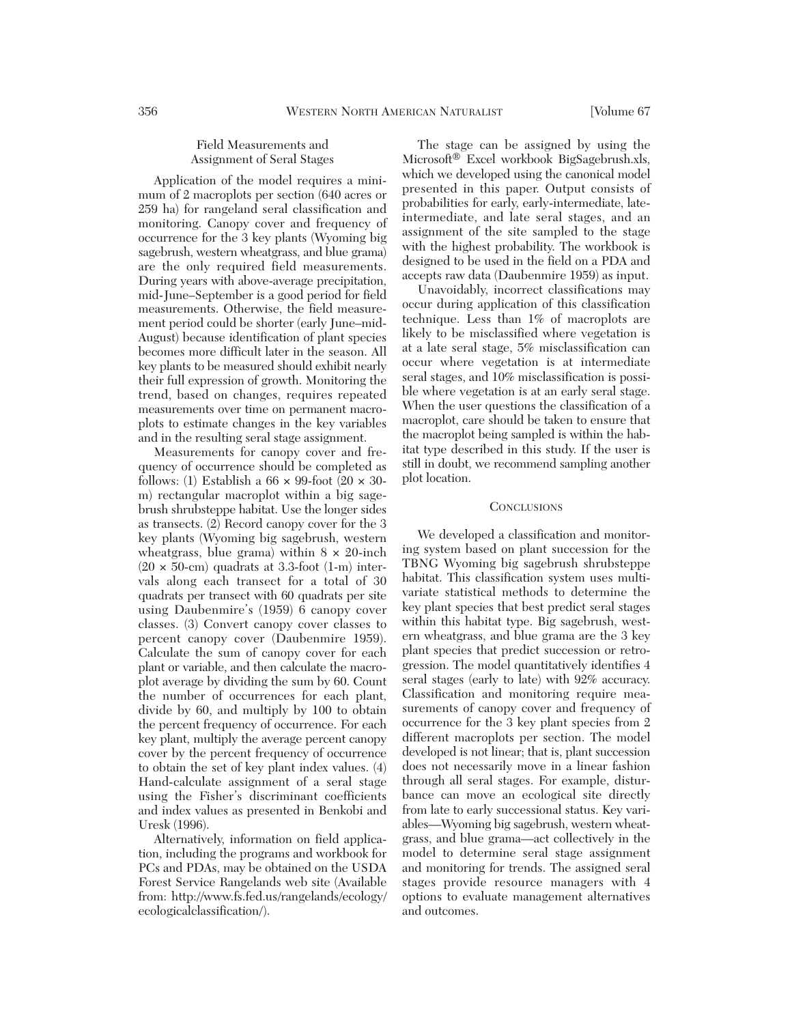# Field Measurements and Assignment of Seral Stages

Application of the model requires a minimum of 2 macroplots per section (640 acres or 259 ha) for rangeland seral classification and monitoring. Canopy cover and frequency of occurrence for the 3 key plants (Wyoming big sagebrush, western wheatgrass, and blue grama) are the only required field measurements. During years with above-average precipitation, mid-June–September is a good period for field measurements. Otherwise, the field measurement period could be shorter (early June–mid-August) because identification of plant species becomes more difficult later in the season. All key plants to be measured should exhibit nearly their full expression of growth. Monitoring the trend, based on changes, requires repeated measurements over time on permanent macroplots to estimate changes in the key variables and in the resulting seral stage assignment.

Measurements for canopy cover and frequency of occurrence should be completed as follows: (1) Establish a  $66 \times 99$ -foot (20  $\times 30$ m) rectangular macroplot within a big sagebrush shrubsteppe habitat. Use the longer sides as transects. (2) Record canopy cover for the 3 key plants (Wyoming big sagebrush, western wheatgrass, blue grama) within  $8 \times 20$ -inch  $(20 \times 50$ -cm) quadrats at 3.3-foot  $(1-m)$  intervals along each transect for a total of 30 quadrats per transect with 60 quadrats per site using Daubenmire's (1959) 6 canopy cover classes. (3) Convert canopy cover classes to percent canopy cover (Daubenmire 1959). Calculate the sum of canopy cover for each plant or variable, and then calculate the macroplot average by dividing the sum by 60. Count the number of occurrences for each plant, divide by 60, and multiply by 100 to obtain the percent frequency of occurrence. For each key plant, multiply the average percent canopy cover by the percent frequency of occurrence to obtain the set of key plant index values. (4) Hand-calculate assignment of a seral stage using the Fisher's discriminant coefficients and index values as presented in Benkobi and Uresk (1996).

Alternatively, information on field application, including the programs and workbook for PCs and PDAs, may be obtained on the USDA Forest Service Rangelands web site (Available from: http://www.fs.fed.us/rangelands/ecology/ ecologicalclassification/).

The stage can be assigned by using the Microsoft® Excel workbook BigSagebrush.xls, which we developed using the canonical model presented in this paper. Output consists of probabilities for early, early-intermediate, lateintermediate, and late seral stages, and an assignment of the site sampled to the stage with the highest probability. The workbook is designed to be used in the field on a PDA and accepts raw data (Daubenmire 1959) as input.

Unavoidably, incorrect classifications may occur during application of this classification technique. Less than 1% of macroplots are likely to be misclassified where vegetation is at a late seral stage, 5% misclassification can occur where vegetation is at intermediate seral stages, and 10% misclassification is possible where vegetation is at an early seral stage. When the user questions the classification of a macroplot, care should be taken to ensure that the macroplot being sampled is within the habitat type described in this study. If the user is still in doubt, we recommend sampling another plot location.

#### **CONCLUSIONS**

We developed a classification and monitoring system based on plant succession for the TBNG Wyoming big sagebrush shrubsteppe habitat. This classification system uses multivariate statistical methods to determine the key plant species that best predict seral stages within this habitat type. Big sagebrush, western wheatgrass, and blue grama are the 3 key plant species that predict succession or retrogression. The model quantitatively identifies 4 seral stages (early to late) with 92% accuracy. Classification and monitoring require measurements of canopy cover and frequency of occurrence for the 3 key plant species from 2 different macroplots per section. The model developed is not linear; that is, plant succession does not necessarily move in a linear fashion through all seral stages. For example, disturbance can move an ecological site directly from late to early successional status. Key variables—Wyoming big sagebrush, western wheatgrass, and blue grama—act collectively in the model to determine seral stage assignment and monitoring for trends. The assigned seral stages provide resource managers with 4 options to evaluate management alternatives and outcomes.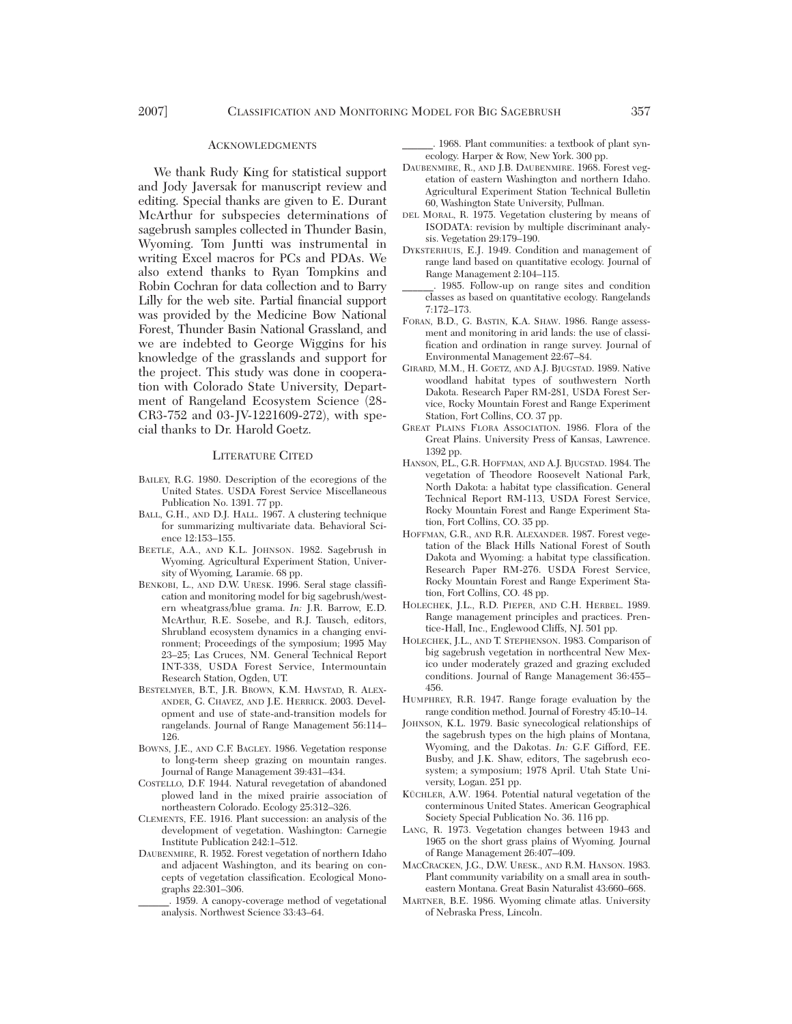#### **ACKNOWLEDGMENTS**

We thank Rudy King for statistical support and Jody Javersak for manuscript review and editing. Special thanks are given to E. Durant McArthur for subspecies determinations of sagebrush samples collected in Thunder Basin, Wyoming. Tom Juntti was instrumental in writing Excel macros for PCs and PDAs. We also extend thanks to Ryan Tompkins and Robin Cochran for data collection and to Barry Lilly for the web site. Partial financial support was provided by the Medicine Bow National Forest, Thunder Basin National Grassland, and we are indebted to George Wiggins for his knowledge of the grasslands and support for the project. This study was done in cooperation with Colorado State University, Department of Rangeland Ecosystem Science (28- CR3-752 and 03-JV-1221609-272), with special thanks to Dr. Harold Goetz.

# LITERATURE CITED

- BAILEY, R.G. 1980. Description of the ecoregions of the United States. USDA Forest Service Miscellaneous Publication No. 1391. 77 pp.
- BALL, G.H., AND D.J. HALL. 1967. A clustering technique for summarizing multivariate data. Behavioral Science 12:153–155.
- BEETLE, A.A., AND K.L. JOHNSON. 1982. Sagebrush in Wyoming. Agricultural Experiment Station, University of Wyoming, Laramie. 68 pp.
- BENKOBI, L., AND D.W. URESK. 1996. Seral stage classification and monitoring model for big sagebrush/western wheatgrass/blue grama. *In:* J.R. Barrow, E.D. McArthur, R.E. Sosebe, and R.J. Tausch, editors, Shrubland ecosystem dynamics in a changing environment; Proceedings of the symposium; 1995 May 23–25; Las Cruces, NM. General Technical Report INT-338, USDA Forest Service, Intermountain Research Station, Ogden, UT.
- BESTELMYER, B.T., J.R. BROWN, K.M. HAVSTAD, R. ALEX-ANDER, G. CHAVEZ, AND J.E. HERRICK. 2003. Development and use of state-and-transition models for rangelands. Journal of Range Management 56:114– 126.
- BOWNS, J.E., AND C.F. BAGLEY. 1986. Vegetation response to long-term sheep grazing on mountain ranges. Journal of Range Management 39:431–434.
- COSTELLO, D.F. 1944. Natural revegetation of abandoned plowed land in the mixed prairie association of northeastern Colorado. Ecology 25:312–326.
- CLEMENTS, F.E. 1916. Plant succession: an analysis of the development of vegetation. Washington: Carnegie Institute Publication 242:1–512.
- DAUBENMIRE, R. 1952. Forest vegetation of northern Idaho and adjacent Washington, and its bearing on concepts of vegetation classification. Ecological Monographs 22:301–306.
	- \_\_\_\_\_\_. 1959. A canopy-coverage method of vegetational analysis. Northwest Science 33:43–64.

\_\_\_\_\_\_. 1968. Plant communities: a textbook of plant synecology. Harper & Row, New York. 300 pp.

- DAUBENMIRE, R., AND J.B. DAUBENMIRE. 1968. Forest vegetation of eastern Washington and northern Idaho. Agricultural Experiment Station Technical Bulletin 60, Washington State University, Pullman.
- DEL MORAL, R. 1975. Vegetation clustering by means of ISODATA: revision by multiple discriminant analysis. Vegetation 29:179–190.
- DYKSTERHUIS, E.J. 1949. Condition and management of range land based on quantitative ecology. Journal of Range Management 2:104–115.
- \_\_\_\_\_\_. 1985. Follow-up on range sites and condition classes as based on quantitative ecology. Rangelands 7:172–173.
- FORAN, B.D., G. BASTIN, K.A. SHAW. 1986. Range assessment and monitoring in arid lands: the use of classification and ordination in range survey. Journal of Environmental Management 22:67–84.
- GIRARD, M.M., H. GOETZ, AND A.J. BJUGSTAD. 1989. Native woodland habitat types of southwestern North Dakota. Research Paper RM-281, USDA Forest Service, Rocky Mountain Forest and Range Experiment Station, Fort Collins, CO. 37 pp.
- GREAT PLAINS FLORA ASSOCIATION. 1986. Flora of the Great Plains. University Press of Kansas, Lawrence. 1392 pp.
- HANSON, P.L., G.R. HOFFMAN, AND A.J. BJUGSTAD. 1984. The vegetation of Theodore Roosevelt National Park, North Dakota: a habitat type classification. General Technical Report RM-113, USDA Forest Service, Rocky Mountain Forest and Range Experiment Station, Fort Collins, CO. 35 pp.
- HOFFMAN, G.R., AND R.R. ALEXANDER. 1987. Forest vegetation of the Black Hills National Forest of South Dakota and Wyoming: a habitat type classification. Research Paper RM-276. USDA Forest Service, Rocky Mountain Forest and Range Experiment Station, Fort Collins, CO. 48 pp.
- HOLECHEK, J.L., R.D. PIEPER, AND C.H. HERBEL. 1989. Range management principles and practices. Prentice-Hall, Inc., Englewood Cliffs, NJ. 501 pp.
- HOLECHEK, J.L., AND T. STEPHENSON. 1983. Comparison of big sagebrush vegetation in northcentral New Mexico under moderately grazed and grazing excluded conditions. Journal of Range Management 36:455– 456.
- HUMPHREY, R.R. 1947. Range forage evaluation by the range condition method. Journal of Forestry 45:10–14.
- JOHNSON, K.L. 1979. Basic synecological relationships of the sagebrush types on the high plains of Montana, Wyoming, and the Dakotas. *In:* G.F. Gifford, F.E. Busby, and J.K. Shaw, editors, The sagebrush ecosystem; a symposium; 1978 April. Utah State University, Logan. 251 pp.
- KÜCHLER, A.W. 1964. Potential natural vegetation of the conterminous United States. American Geographical Society Special Publication No. 36. 116 pp.
- LANG, R. 1973. Vegetation changes between 1943 and 1965 on the short grass plains of Wyoming. Journal of Range Management 26:407–409.
- MACCRACKEN, J.G., D.W. URESK., AND R.M. HANSON. 1983. Plant community variability on a small area in southeastern Montana. Great Basin Naturalist 43:660–668.
- MARTNER, B.E. 1986. Wyoming climate atlas. University of Nebraska Press, Lincoln.